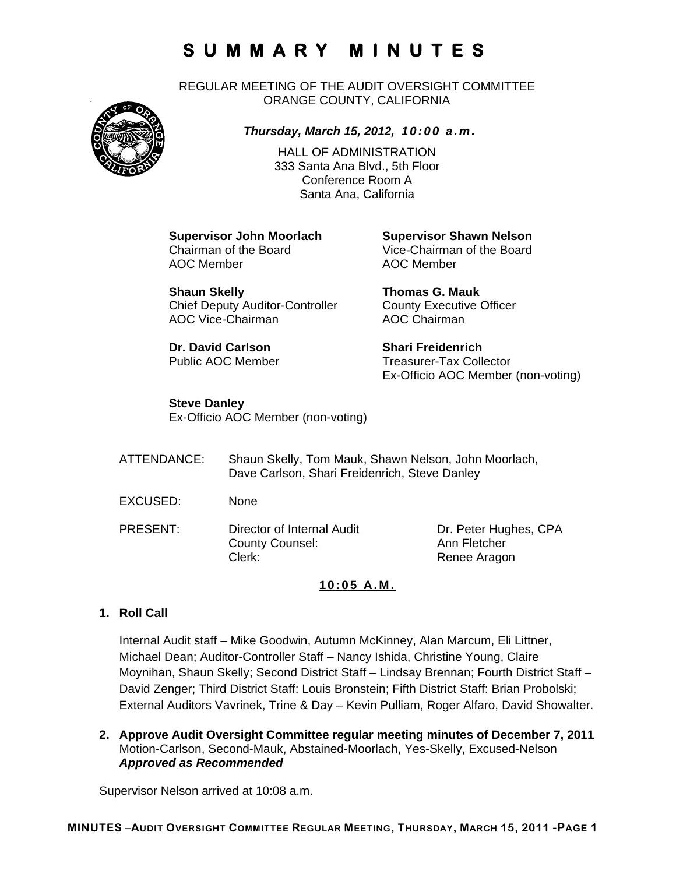REGULAR MEETING OF THE AUDIT OVERSIGHT COMMITTEE ORANGE COUNTY, CALIFORNIA



## *Thursday, March 15, 2012, 10:00 a.m.*

HALL OF ADMINISTRATION 333 Santa Ana Blvd., 5th Floor Conference Room A Santa Ana, California

AOC Member **AOC Member** 

**Shaun Skelly Thomas G. Mauk**  Chief Deputy Auditor-Controller County Executive Officer AOC Vice-Chairman AOC Chairman

**Dr. David Carlson Shari Freidenrich** 

**Supervisor John Moorlach Supervisor Shawn Nelson**<br>
Chairman of the Board<br>
Vice-Chairman of the Board Vice-Chairman of the Board

Public AOC Member Treasurer-Tax Collector Ex-Officio AOC Member (non-voting)

### **Steve Danley**

Ex-Officio AOC Member (non-voting)

| ATTENDANCE: | Shaun Skelly, Tom Mauk, Shawn Nelson, John Moorlach,<br>Dave Carlson, Shari Freidenrich, Steve Danley |                                                       |
|-------------|-------------------------------------------------------------------------------------------------------|-------------------------------------------------------|
| EXCUSED:    | <b>None</b>                                                                                           |                                                       |
| PRESENT:    | Director of Internal Audit<br><b>County Counsel:</b><br>Clerk:                                        | Dr. Peter Hughes, CPA<br>Ann Fletcher<br>Renee Aragon |

### **10:05 A.M.**

### **1. Roll Call**

Internal Audit staff – Mike Goodwin, Autumn McKinney, Alan Marcum, Eli Littner, Michael Dean; Auditor-Controller Staff – Nancy Ishida, Christine Young, Claire Moynihan, Shaun Skelly; Second District Staff – Lindsay Brennan; Fourth District Staff – David Zenger; Third District Staff: Louis Bronstein; Fifth District Staff: Brian Probolski; External Auditors Vavrinek, Trine & Day – Kevin Pulliam, Roger Alfaro, David Showalter.

**2. Approve Audit Oversight Committee regular meeting minutes of December 7, 2011**  Motion-Carlson, Second-Mauk, Abstained-Moorlach, Yes-Skelly, Excused-Nelson *Approved as Recommended* 

Supervisor Nelson arrived at 10:08 a.m.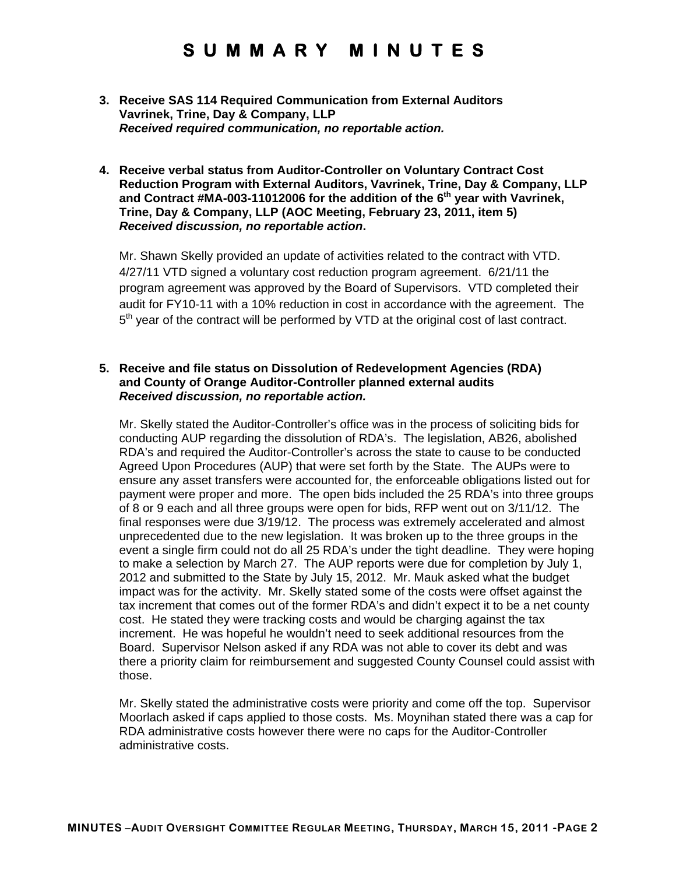- **3. Receive SAS 114 Required Communication from External Auditors Vavrinek, Trine, Day & Company, LLP**  *Received required communication, no reportable action.*
- **4. Receive verbal status from Auditor-Controller on Voluntary Contract Cost Reduction Program with External Auditors, Vavrinek, Trine, Day & Company, LLP and Contract #MA-003-11012006 for the addition of the 6th year with Vavrinek, Trine, Day & Company, LLP (AOC Meeting, February 23, 2011, item 5)**  *Received discussion, no reportable action***.**

Mr. Shawn Skelly provided an update of activities related to the contract with VTD. 4/27/11 VTD signed a voluntary cost reduction program agreement. 6/21/11 the program agreement was approved by the Board of Supervisors. VTD completed their audit for FY10-11 with a 10% reduction in cost in accordance with the agreement. The  $5<sup>th</sup>$  year of the contract will be performed by VTD at the original cost of last contract.

#### **5. Receive and file status on Dissolution of Redevelopment Agencies (RDA) and County of Orange Auditor-Controller planned external audits**  *Received discussion, no reportable action.*

Mr. Skelly stated the Auditor-Controller's office was in the process of soliciting bids for conducting AUP regarding the dissolution of RDA's. The legislation, AB26, abolished RDA's and required the Auditor-Controller's across the state to cause to be conducted Agreed Upon Procedures (AUP) that were set forth by the State. The AUPs were to ensure any asset transfers were accounted for, the enforceable obligations listed out for payment were proper and more. The open bids included the 25 RDA's into three groups of 8 or 9 each and all three groups were open for bids, RFP went out on 3/11/12. The final responses were due 3/19/12. The process was extremely accelerated and almost unprecedented due to the new legislation. It was broken up to the three groups in the event a single firm could not do all 25 RDA's under the tight deadline. They were hoping to make a selection by March 27. The AUP reports were due for completion by July 1, 2012 and submitted to the State by July 15, 2012. Mr. Mauk asked what the budget impact was for the activity. Mr. Skelly stated some of the costs were offset against the tax increment that comes out of the former RDA's and didn't expect it to be a net county cost. He stated they were tracking costs and would be charging against the tax increment. He was hopeful he wouldn't need to seek additional resources from the Board. Supervisor Nelson asked if any RDA was not able to cover its debt and was there a priority claim for reimbursement and suggested County Counsel could assist with those.

Mr. Skelly stated the administrative costs were priority and come off the top. Supervisor Moorlach asked if caps applied to those costs. Ms. Moynihan stated there was a cap for RDA administrative costs however there were no caps for the Auditor-Controller administrative costs.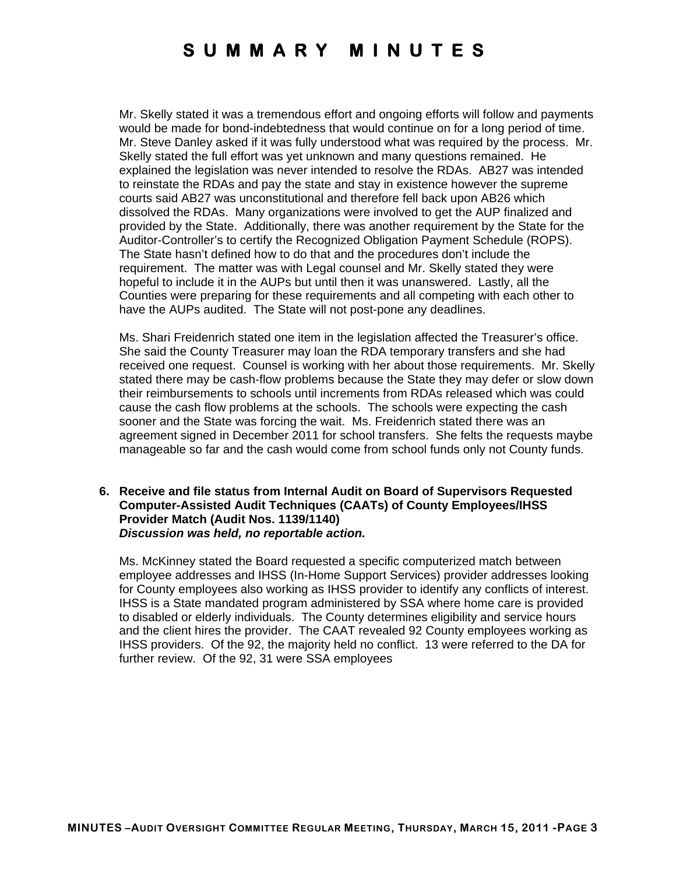Mr. Skelly stated it was a tremendous effort and ongoing efforts will follow and payments would be made for bond-indebtedness that would continue on for a long period of time. Mr. Steve Danley asked if it was fully understood what was required by the process. Mr. Skelly stated the full effort was yet unknown and many questions remained. He explained the legislation was never intended to resolve the RDAs. AB27 was intended to reinstate the RDAs and pay the state and stay in existence however the supreme courts said AB27 was unconstitutional and therefore fell back upon AB26 which dissolved the RDAs. Many organizations were involved to get the AUP finalized and provided by the State. Additionally, there was another requirement by the State for the Auditor-Controller's to certify the Recognized Obligation Payment Schedule (ROPS). The State hasn't defined how to do that and the procedures don't include the requirement. The matter was with Legal counsel and Mr. Skelly stated they were hopeful to include it in the AUPs but until then it was unanswered. Lastly, all the Counties were preparing for these requirements and all competing with each other to have the AUPs audited. The State will not post-pone any deadlines.

Ms. Shari Freidenrich stated one item in the legislation affected the Treasurer's office. She said the County Treasurer may loan the RDA temporary transfers and she had received one request. Counsel is working with her about those requirements. Mr. Skelly stated there may be cash-flow problems because the State they may defer or slow down their reimbursements to schools until increments from RDAs released which was could cause the cash flow problems at the schools. The schools were expecting the cash sooner and the State was forcing the wait. Ms. Freidenrich stated there was an agreement signed in December 2011 for school transfers. She felts the requests maybe manageable so far and the cash would come from school funds only not County funds.

#### **6. Receive and file status from Internal Audit on Board of Supervisors Requested Computer-Assisted Audit Techniques (CAATs) of County Employees/IHSS Provider Match (Audit Nos. 1139/1140)**  *Discussion was held, no reportable action.*

Ms. McKinney stated the Board requested a specific computerized match between employee addresses and IHSS (In-Home Support Services) provider addresses looking for County employees also working as IHSS provider to identify any conflicts of interest. IHSS is a State mandated program administered by SSA where home care is provided to disabled or elderly individuals. The County determines eligibility and service hours and the client hires the provider. The CAAT revealed 92 County employees working as IHSS providers. Of the 92, the majority held no conflict. 13 were referred to the DA for further review. Of the 92, 31 were SSA employees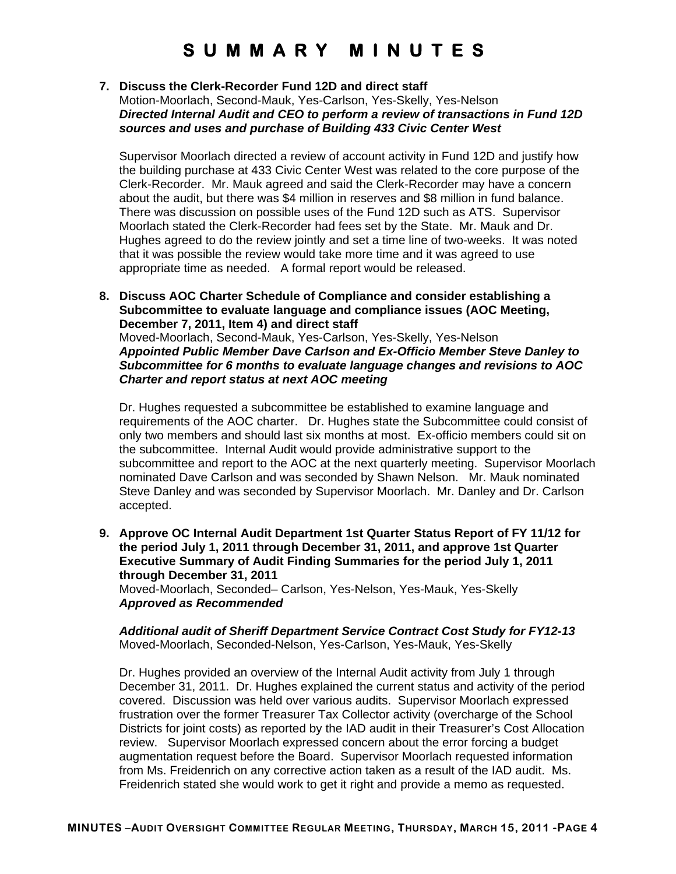#### **7. Discuss the Clerk-Recorder Fund 12D and direct staff**

Motion-Moorlach, Second-Mauk, Yes-Carlson, Yes-Skelly, Yes-Nelson *Directed Internal Audit and CEO to perform a review of transactions in Fund 12D sources and uses and purchase of Building 433 Civic Center West* 

Supervisor Moorlach directed a review of account activity in Fund 12D and justify how the building purchase at 433 Civic Center West was related to the core purpose of the Clerk-Recorder. Mr. Mauk agreed and said the Clerk-Recorder may have a concern about the audit, but there was \$4 million in reserves and \$8 million in fund balance. There was discussion on possible uses of the Fund 12D such as ATS. Supervisor Moorlach stated the Clerk-Recorder had fees set by the State. Mr. Mauk and Dr. Hughes agreed to do the review jointly and set a time line of two-weeks. It was noted that it was possible the review would take more time and it was agreed to use appropriate time as needed. A formal report would be released.

**8. Discuss AOC Charter Schedule of Compliance and consider establishing a Subcommittee to evaluate language and compliance issues (AOC Meeting, December 7, 2011, Item 4) and direct staff**  Moved-Moorlach, Second-Mauk, Yes-Carlson, Yes-Skelly, Yes-Nelson

*Appointed Public Member Dave Carlson and Ex-Officio Member Steve Danley to Subcommittee for 6 months to evaluate language changes and revisions to AOC Charter and report status at next AOC meeting* 

Dr. Hughes requested a subcommittee be established to examine language and requirements of the AOC charter. Dr. Hughes state the Subcommittee could consist of only two members and should last six months at most. Ex-officio members could sit on the subcommittee. Internal Audit would provide administrative support to the subcommittee and report to the AOC at the next quarterly meeting. Supervisor Moorlach nominated Dave Carlson and was seconded by Shawn Nelson. Mr. Mauk nominated Steve Danley and was seconded by Supervisor Moorlach. Mr. Danley and Dr. Carlson accepted.

**9. Approve OC Internal Audit Department 1st Quarter Status Report of FY 11/12 for the period July 1, 2011 through December 31, 2011, and approve 1st Quarter Executive Summary of Audit Finding Summaries for the period July 1, 2011 through December 31, 2011** 

Moved-Moorlach, Seconded– Carlson, Yes-Nelson, Yes-Mauk, Yes-Skelly *Approved as Recommended* 

*Additional audit of Sheriff Department Service Contract Cost Study for FY12-13*  Moved-Moorlach, Seconded-Nelson, Yes-Carlson, Yes-Mauk, Yes-Skelly

Dr. Hughes provided an overview of the Internal Audit activity from July 1 through December 31, 2011. Dr. Hughes explained the current status and activity of the period covered. Discussion was held over various audits. Supervisor Moorlach expressed frustration over the former Treasurer Tax Collector activity (overcharge of the School Districts for joint costs) as reported by the IAD audit in their Treasurer's Cost Allocation review. Supervisor Moorlach expressed concern about the error forcing a budget augmentation request before the Board. Supervisor Moorlach requested information from Ms. Freidenrich on any corrective action taken as a result of the IAD audit. Ms. Freidenrich stated she would work to get it right and provide a memo as requested.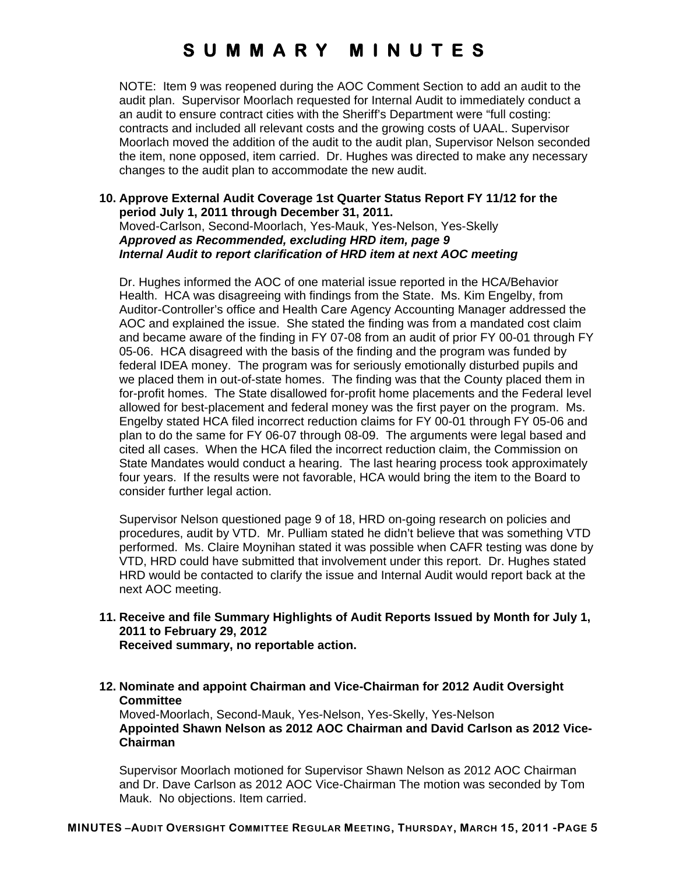NOTE: Item 9 was reopened during the AOC Comment Section to add an audit to the audit plan. Supervisor Moorlach requested for Internal Audit to immediately conduct a an audit to ensure contract cities with the Sheriff's Department were "full costing: contracts and included all relevant costs and the growing costs of UAAL. Supervisor Moorlach moved the addition of the audit to the audit plan, Supervisor Nelson seconded the item, none opposed, item carried. Dr. Hughes was directed to make any necessary changes to the audit plan to accommodate the new audit.

#### **10. Approve External Audit Coverage 1st Quarter Status Report FY 11/12 for the period July 1, 2011 through December 31, 2011.**  Moved-Carlson, Second-Moorlach, Yes-Mauk, Yes-Nelson, Yes-Skelly *Approved as Recommended, excluding HRD item, page 9*

*Internal Audit to report clarification of HRD item at next AOC meeting*  Dr. Hughes informed the AOC of one material issue reported in the HCA/Behavior

Health. HCA was disagreeing with findings from the State. Ms. Kim Engelby, from Auditor-Controller's office and Health Care Agency Accounting Manager addressed the AOC and explained the issue. She stated the finding was from a mandated cost claim and became aware of the finding in FY 07-08 from an audit of prior FY 00-01 through FY 05-06. HCA disagreed with the basis of the finding and the program was funded by federal IDEA money. The program was for seriously emotionally disturbed pupils and we placed them in out-of-state homes. The finding was that the County placed them in for-profit homes. The State disallowed for-profit home placements and the Federal level allowed for best-placement and federal money was the first payer on the program. Ms. Engelby stated HCA filed incorrect reduction claims for FY 00-01 through FY 05-06 and plan to do the same for FY 06-07 through 08-09. The arguments were legal based and cited all cases. When the HCA filed the incorrect reduction claim, the Commission on State Mandates would conduct a hearing. The last hearing process took approximately four years. If the results were not favorable, HCA would bring the item to the Board to consider further legal action.

Supervisor Nelson questioned page 9 of 18, HRD on-going research on policies and procedures, audit by VTD. Mr. Pulliam stated he didn't believe that was something VTD performed. Ms. Claire Moynihan stated it was possible when CAFR testing was done by VTD, HRD could have submitted that involvement under this report. Dr. Hughes stated HRD would be contacted to clarify the issue and Internal Audit would report back at the next AOC meeting.

- **11. Receive and file Summary Highlights of Audit Reports Issued by Month for July 1, 2011 to February 29, 2012 Received summary, no reportable action.**
- **12. Nominate and appoint Chairman and Vice-Chairman for 2012 Audit Oversight Committee**

Moved-Moorlach, Second-Mauk, Yes-Nelson, Yes-Skelly, Yes-Nelson **Appointed Shawn Nelson as 2012 AOC Chairman and David Carlson as 2012 Vice-Chairman** 

Supervisor Moorlach motioned for Supervisor Shawn Nelson as 2012 AOC Chairman and Dr. Dave Carlson as 2012 AOC Vice-Chairman The motion was seconded by Tom Mauk. No objections. Item carried.